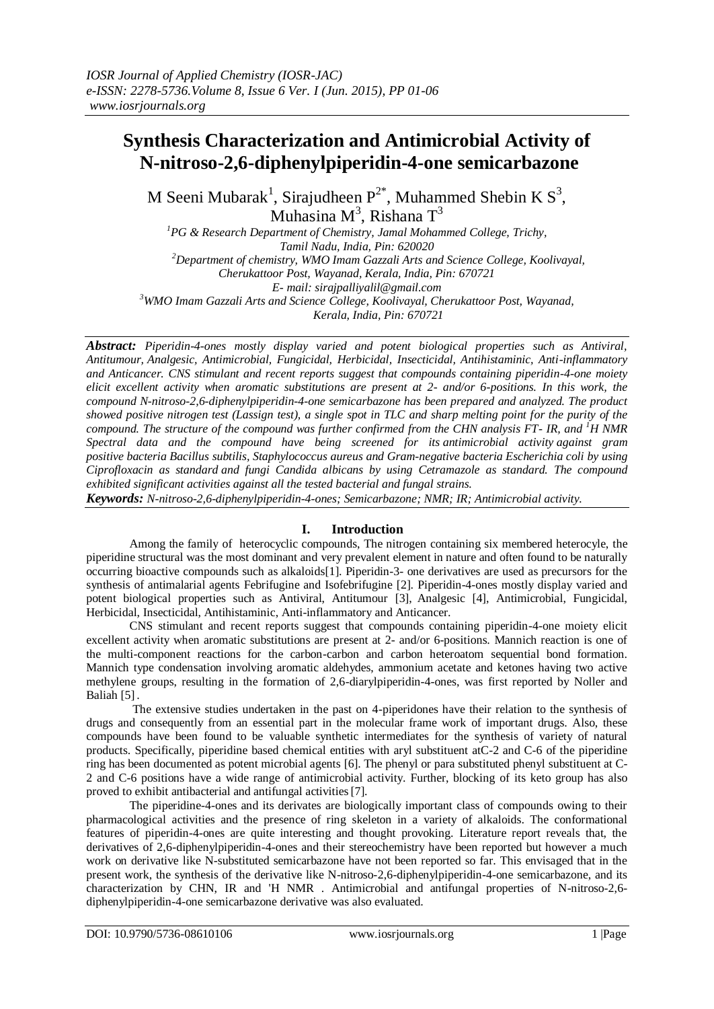# **Synthesis Characterization and Antimicrobial Activity of N-nitroso-2,6-diphenylpiperidin-4-one semicarbazone**

M Seeni Mubarak<sup>1</sup>, Sirajudheen  $P^{2*}$ , Muhammed Shebin K S<sup>3</sup>, Muhasina M<sup>3</sup>, Rishana T<sup>3</sup>

*<sup>1</sup>PG & Research Department of Chemistry, Jamal Mohammed College, Trichy, Tamil Nadu, India, Pin: 620020 <sup>2</sup>Department of chemistry, WMO Imam Gazzali Arts and Science College, Koolivayal, Cherukattoor Post, Wayanad, Kerala, India, Pin: 670721 E- mail: sirajpalliyalil@gmail.com <sup>3</sup>WMO Imam Gazzali Arts and Science College, Koolivayal, Cherukattoor Post, Wayanad, Kerala, India, Pin: 670721*

*Abstract: Piperidin-4-ones mostly display varied and potent biological properties such as Antiviral, Antitumour, Analgesic, Antimicrobial, Fungicidal, Herbicidal, Insecticidal, Antihistaminic, Anti-inflammatory and Anticancer. CNS stimulant and recent reports suggest that compounds containing piperidin-4-one moiety elicit excellent activity when aromatic substitutions are present at 2- and/or 6-positions. In this work, the compound N-nitroso-2,6-diphenylpiperidin-4-one semicarbazone has been prepared and analyzed. The product showed positive nitrogen test (Lassign test), a single spot in TLC and sharp melting point for the purity of the compound. The structure of the compound was further confirmed from the CHN analysis FT- IR, and <sup>1</sup>H NMR Spectral data and the compound have being screened for its [antimicrobial activity](http://academic.research.microsoft.com/Keyword/1730/antibacterial-activity) against gram positive bacteria Bacillus subtilis, [Staphylococcus aureus](http://academic.research.microsoft.com/Keyword/39683/staphylococcus-aureus) and Gram-negative bacteria [Escherichia coli](http://academic.research.microsoft.com/Keyword/52761/escherichia-coli) by using Ciprofloxacin as standard and fungi Candida albicans by using Cetramazole as standard. The compound exhibited significant activities against all the tested bacterial and fungal strains.*

*Keywords: N-nitroso-2,6-diphenylpiperidin-4-ones; Semicarbazone; NMR; IR; Antimicrobial activity.*

# **I. Introduction**

Among the family of heterocyclic compounds, The nitrogen containing six membered heterocyle, the piperidine structural was the most dominant and very prevalent element in nature and often found to be naturally occurring bioactive compounds such as alkaloids[1]. Piperidin-3- one derivatives are used as precursors for the synthesis of antimalarial agents Febrifugine and Isofebrifugine [2]. Piperidin-4-ones mostly display varied and potent biological properties such as Antiviral, Antitumour [3], Analgesic [4], Antimicrobial, Fungicidal, Herbicidal, Insecticidal, Antihistaminic, Anti-inflammatory and Anticancer.

CNS stimulant and recent reports suggest that compounds containing piperidin-4-one moiety elicit excellent activity when aromatic substitutions are present at 2- and/or 6-positions. Mannich reaction is one of the multi-component reactions for the carbon-carbon and carbon heteroatom sequential bond formation. Mannich type condensation involving aromatic aldehydes, ammonium acetate and ketones having two active methylene groups, resulting in the formation of 2,6-diarylpiperidin-4-ones, was first reported by Noller and Baliah [5].

The extensive studies undertaken in the past on 4-piperidones have their relation to the synthesis of drugs and consequently from an essential part in the molecular frame work of important drugs. Also, these compounds have been found to be valuable synthetic intermediates for the synthesis of variety of natural products. Specifically, piperidine based chemical entities with aryl substituent atC-2 and C-6 of the piperidine ring has been documented as potent microbial agents [6]. The phenyl or para substituted phenyl substituent at C-2 and C-6 positions have a wide range of antimicrobial activity. Further, blocking of its keto group has also proved to exhibit antibacterial and antifungal activities[7].

The piperidine-4-ones and its derivates are biologically important class of compounds owing to their pharmacological activities and the presence of ring skeleton in a variety of alkaloids. The conformational features of piperidin-4-ones are quite interesting and thought provoking. Literature report reveals that, the derivatives of 2,6-diphenylpiperidin-4-ones and their stereochemistry have been reported but however a much work on derivative like N-substituted semicarbazone have not been reported so far. This envisaged that in the present work, the synthesis of the derivative like N-nitroso-2,6-diphenylpiperidin-4-one semicarbazone, and its characterization by CHN, IR and 'H NMR . Antimicrobial and antifungal properties of N-nitroso-2,6 diphenylpiperidin-4-one semicarbazone derivative was also evaluated.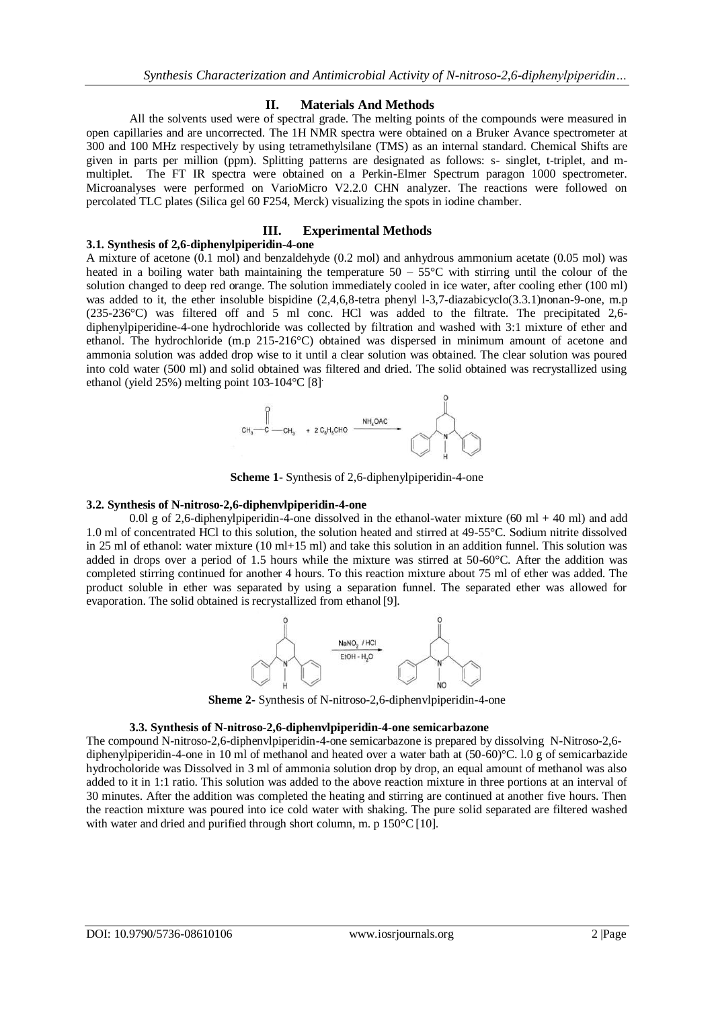## **II. Materials And Methods**

All the solvents used were of spectral grade. The melting points of the compounds were measured in open capillaries and are uncorrected. The 1H NMR spectra were obtained on a Bruker Avance spectrometer at 300 and 100 MHz respectively by using tetramethylsilane (TMS) as an internal standard. Chemical Shifts are given in parts per million (ppm). Splitting patterns are designated as follows: s- singlet, t-triplet, and mmultiplet. The FT IR spectra were obtained on a Perkin-Elmer Spectrum paragon 1000 spectrometer. Microanalyses were performed on VarioMicro V2.2.0 CHN analyzer. The reactions were followed on percolated TLC plates (Silica gel 60 F254, Merck) visualizing the spots in iodine chamber.

## **III. Experimental Methods**

### **3.1. Synthesis of 2,6-diphenylpiperidin-4-one**

A mixture of acetone (0.1 mol) and benzaldehyde (0.2 mol) and anhydrous ammonium acetate (0.05 mol) was heated in a boiling water bath maintaining the temperature  $50 - 55^{\circ}$ C with stirring until the colour of the solution changed to deep red orange. The solution immediately cooled in ice water, after cooling ether (100 ml) was added to it, the ether insoluble bispidine  $(2.4.6,8$ -tetra phenyl 1-3,7-diazabicyclo $(3.3.1)$ nonan-9-one, m.p (235-236°C) was filtered off and 5 ml conc. HCl was added to the filtrate. The precipitated 2,6 diphenylpiperidine-4-one hydrochloride was collected by filtration and washed with 3:1 mixture of ether and ethanol. The hydrochloride (m.p 215-216°C) obtained was dispersed in minimum amount of acetone and ammonia solution was added drop wise to it until a clear solution was obtained. The clear solution was poured into cold water (500 ml) and solid obtained was filtered and dried. The solid obtained was recrystallized using ethanol (yield 25%) melting point 103-104°C [8] .



**Scheme 1-** Synthesis of 2,6-diphenylpiperidin-4-one

## **3.2. Synthesis of N-nitroso-2,6-diphenvlpiperidin-4-one**

0.0l g of 2,6-diphenylpiperidin-4-one dissolved in the ethanol-water mixture (60 ml + 40 ml) and add 1.0 ml of concentrated HCl to this solution, the solution heated and stirred at 49-55°C. Sodium nitrite dissolved in 25 ml of ethanol: water mixture (10 ml+15 ml) and take this solution in an addition funnel. This solution was added in drops over a period of 1.5 hours while the mixture was stirred at 50-60°C. After the addition was completed stirring continued for another 4 hours. To this reaction mixture about 75 ml of ether was added. The product soluble in ether was separated by using a separation funnel. The separated ether was allowed for evaporation. The solid obtained is recrystallized from ethanol [9].



**Sheme 2-** Synthesis of N-nitroso-2,6-diphenvlpiperidin-4-one

#### **3.3. Synthesis of N-nitroso-2,6-diphenvlpiperidin-4-one semicarbazone**

The compound N-nitroso-2,6-diphenvlpiperidin-4-one semicarbazone is prepared by dissolving N-Nitroso-2,6 diphenylpiperidin-4-one in 10 ml of methanol and heated over a water bath at (50-60)°C. l.0 g of semicarbazide hydrocholoride was Dissolved in 3 ml of ammonia solution drop by drop, an equal amount of methanol was also added to it in 1:1 ratio. This solution was added to the above reaction mixture in three portions at an interval of 30 minutes. After the addition was completed the heating and stirring are continued at another five hours. Then the reaction mixture was poured into ice cold water with shaking. The pure solid separated are filtered washed with water and dried and purified through short column, m. p  $150^{\circ}$ C[10].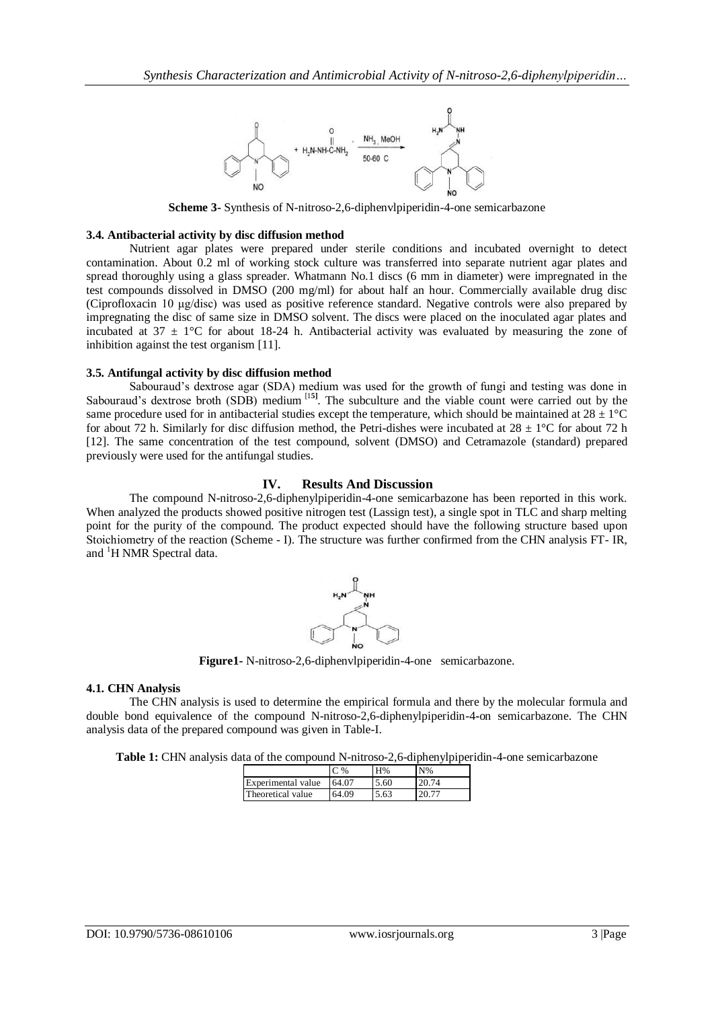

**Scheme 3-** Synthesis of N-nitroso-2,6-diphenvlpiperidin-4-one semicarbazone

## **3.4. Antibacterial activity by disc diffusion method**

Nutrient agar plates were prepared under sterile conditions and incubated overnight to detect contamination. About 0.2 ml of working stock culture was transferred into separate nutrient agar plates and spread thoroughly using a glass spreader. Whatmann No.1 discs (6 mm in diameter) were impregnated in the test compounds dissolved in DMSO (200 mg/ml) for about half an hour. Commercially available drug disc (Ciprofloxacin 10 μg/disc) was used as positive reference standard. Negative controls were also prepared by impregnating the disc of same size in DMSO solvent. The discs were placed on the inoculated agar plates and incubated at 37  $\pm$  1°C for about 18-24 h. Antibacterial activity was evaluated by measuring the zone of inhibition against the test organism [11].

## **3.5. Antifungal activity by disc diffusion method**

Sabouraud's dextrose agar (SDA) medium was used for the growth of fungi and testing was done in Sabouraud's dextrose broth (SDB) medium<sup>[15]</sup>. The subculture and the viable count were carried out by the same procedure used for in antibacterial studies except the temperature, which should be maintained at  $28 \pm 1^{\circ}$ C for about 72 h. Similarly for disc diffusion method, the Petri-dishes were incubated at  $28 \pm 1$ °C for about 72 h [12]. The same concentration of the test compound, solvent (DMSO) and Cetramazole (standard) prepared previously were used for the antifungal studies.

## **IV. Results And Discussion**

The compound N-nitroso-2,6-diphenylpiperidin-4-one semicarbazone has been reported in this work. When analyzed the products showed positive nitrogen test (Lassign test), a single spot in TLC and sharp melting point for the purity of the compound. The product expected should have the following structure based upon Stoichiometry of the reaction (Scheme - I). The structure was further confirmed from the CHN analysis FT- IR, and <sup>1</sup>H NMR Spectral data.



**Figure1-** N-nitroso-2,6-diphenvlpiperidin-4-one semicarbazone.

## **4.1. CHN Analysis**

The CHN analysis is used to determine the empirical formula and there by the molecular formula and double bond equivalence of the compound N-nitroso-2,6-diphenylpiperidin-4**-**on semicarbazone. The CHN analysis data of the prepared compound was given in Table-I.

|  |  | Table 1: CHN analysis data of the compound N-nitroso-2,6-diphenylpiperidin-4-one semicarbazone |  |  |  |  |
|--|--|------------------------------------------------------------------------------------------------|--|--|--|--|
|--|--|------------------------------------------------------------------------------------------------|--|--|--|--|

|                           | $\%$  | H%   | $N\%$ |
|---------------------------|-------|------|-------|
| <b>Experimental</b> value | 64.07 | 5.60 | 20.74 |
| Theoretical value         | 64.09 | 5.63 | 20.77 |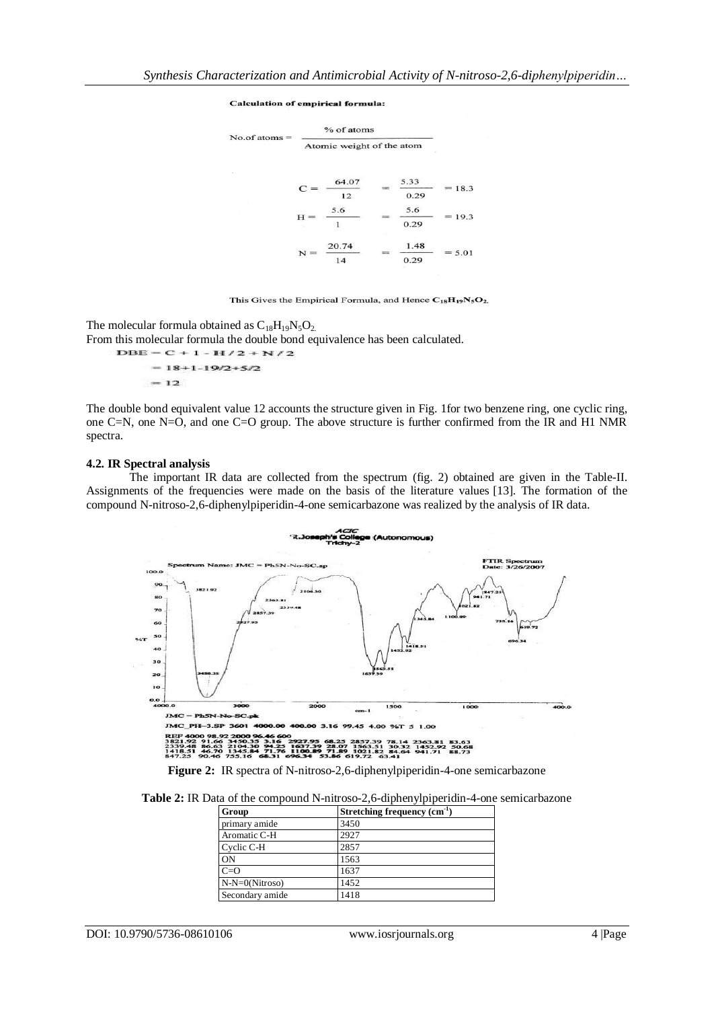#### **Calculation of empirical formula:**

| $No. of atoms =$ |                           | % of atoms          |  |              |          |
|------------------|---------------------------|---------------------|--|--------------|----------|
|                  | Atomic weight of the atom |                     |  |              |          |
| 52               |                           | 64.07               |  | 5.33         |          |
|                  | $C =$                     | 12                  |  | 0.29         | 18.3     |
|                  | $H =$                     | 5.6<br>$\mathbf{1}$ |  | 5.6<br>0.29  | 19.3     |
|                  |                           | 20.74<br>14         |  | 1.48<br>0.29 | $= 5.01$ |

This Gives the Empirical Formula, and Hence  $C_{18}H_{19}N_5O_2$ .

The molecular formula obtained as  $C_{18}H_{19}N_5O_2$ .

From this molecular formula the double bond equivalence has been calculated.

 $DBE = C + 1 - H/2 + N/2$  $= 18 + 1 - 19/2 + 5/2$  $= 12$ 

The double bond equivalent value 12 accounts the structure given in Fig. 1for two benzene ring, one cyclic ring, one C=N, one N=O, and one C=O group. The above structure is further confirmed from the IR and H1 NMR spectra.

#### **4.2. IR Spectral analysis**

The important IR data are collected from the spectrum (fig. 2) obtained are given in the Table-II. Assignments of the frequencies were made on the basis of the literature values [13]. The formation of the compound N-nitroso-2,6-diphenylpiperidin-4-one semicarbazone was realized by the analysis of IR data.



**Figure 2:** IR spectra of N-nitroso-2,6-diphenylpiperidin-4-one semicarbazone

| Group            | Stretching frequency $(cm^{-1})$ |  |  |
|------------------|----------------------------------|--|--|
| primary amide    | 3450                             |  |  |
| Aromatic C-H     | 2927                             |  |  |
| Cyclic C-H       | 2857                             |  |  |
| ON               | 1563                             |  |  |
| $C=O$            | 1637                             |  |  |
| $N-N=0(Nitroso)$ | 1452                             |  |  |
| Secondary amide  | 1418                             |  |  |

DOI: 10.9790/5736-08610106 www.iosrjournals.org 4 |Page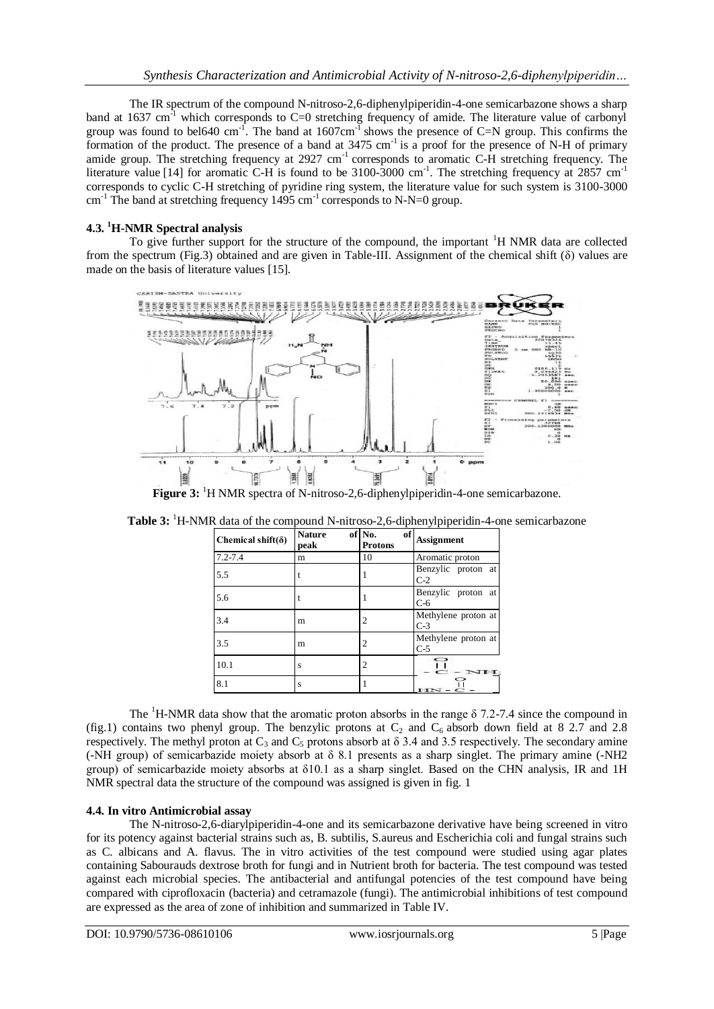The IR spectrum of the compound N-nitroso-2,6-diphenylpiperidin-4-one semicarbazone shows a sharp band at 1637 cm<sup>-1</sup> which corresponds to C=0 stretching frequency of amide. The literature value of carbonyl group was found to bel640 cm<sup>-1</sup>. The band at  $1607 \text{cm}^{-1}$  shows the presence of C=N group. This confirms the formation of the product. The presence of a band at 3475 cm<sup>-1</sup> is a proof for the presence of N-H of primary amide group. The stretching frequency at 2927 cm<sup>-1</sup> corresponds to aromatic C-H stretching frequency. The literature value [14] for aromatic C-H is found to be 3100-3000 cm<sup>-1</sup>. The stretching frequency at 2857 cm<sup>-1</sup> corresponds to cyclic C-H stretching of pyridine ring system, the literature value for such system is 3100-3000  $\text{cm}^{-1}$  The band at stretching frequency 1495  $\text{cm}^{-1}$  corresponds to N-N=0 group.

# **4.3. <sup>1</sup>H-NMR Spectral analysis**

To give further support for the structure of the compound, the important  $H$  NMR data are collected from the spectrum (Fig.3) obtained and are given in Table-III. Assignment of the chemical shift (δ) values are made on the basis of literature values [15].



**Figure 3:** <sup>1</sup>H NMR spectra of N-nitroso-2,6-diphenylpiperidin-4-one semicarbazone.

| Chemical shift( $\delta$ ) | <b>Nature</b><br>peak | of No.<br><b>Protons</b> | of<br><b>Assignment</b>      |  |
|----------------------------|-----------------------|--------------------------|------------------------------|--|
| $7.2 - 7.4$                | m                     | 10                       | Aromatic proton              |  |
| 5.5                        |                       |                          | Benzylic proton at<br>$C-2$  |  |
| 5.6                        |                       |                          | Benzylic proton at<br>$C-6$  |  |
| 3.4                        | m                     | 2                        | Methylene proton at<br>$C-3$ |  |
| 3.5                        | m                     | 2                        | Methylene proton at<br>$C-5$ |  |
| 10.1                       | S                     | 2                        | 0                            |  |
| 8.1                        | S                     |                          | 유<br>$HN-C -$                |  |

Table 3: <sup>1</sup>H-NMR data of the compound N-nitroso-2,6-diphenylpiperidin-4-one semicarbazone

The <sup>1</sup>H-NMR data show that the aromatic proton absorbs in the range  $\delta$  7.2-7.4 since the compound in (fig.1) contains two phenyl group. The benzylic protons at  $C_2$  and  $C_6$  absorb down field at 8 2.7 and 2.8 respectively. The methyl proton at  $C_3$  and  $C_5$  protons absorb at  $\delta$  3.4 and 3.5 respectively. The secondary amine (-NH group) of semicarbazide moiety absorb at δ 8.1 presents as a sharp singlet. The primary amine (-NH2 group) of semicarbazide moiety absorbs at δ10.1 as a sharp singlet. Based on the CHN analysis, IR and 1H NMR spectral data the structure of the compound was assigned is given in fig. 1

# **4.4. In vitro Antimicrobial assay**

The N-nitroso-2,6-diarylpiperidin-4-one and its semicarbazone derivative have being screened in vitro for its potency against bacterial strains such as, B. subtilis, S.aureus and [Escherichia coli](http://academic.research.microsoft.com/Keyword/52761/escherichia-coli) and fungal strains such as C. albicans and A. flavus. The in vitro activities of the test compound were studied using agar plates containing Sabourauds dextrose broth for fungi and in Nutrient broth for bacteria. The test compound was tested against each microbial species. The antibacterial and antifungal potencies of the test compound have being compared with ciprofloxacin (bacteria) and cetramazole (fungi). The antimicrobial inhibitions of test compound are expressed as the area of zone of inhibition and summarized in Table IV.